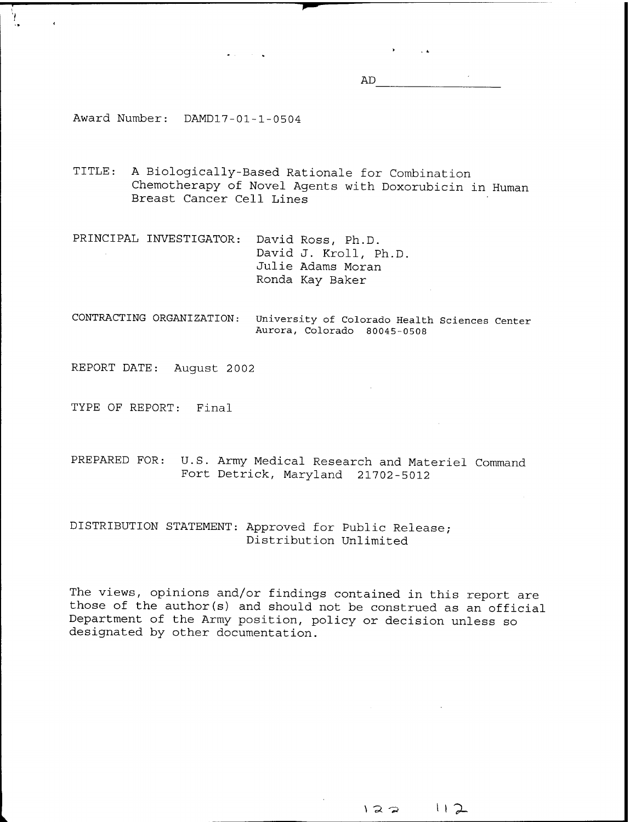AD

 $\mathbf{y} = \mathbf{y} \cdot \mathbf{y}$ 

Award Number: DAMD17-01-1-0504

TITLE: <sup>A</sup> Biologically-Based Rationale for Combination Chemotherapy of Novel Agents with Doxorubicin in Human Breast Cancer Cell Lines

PRINCIPAL INVESTIGATOR: David Ross, Ph.D. David J. Kroll, Ph.D. Julie Adams Moran Ronda Kay Baker

 $\bullet$  and  $\bullet$  is the  $\bullet$  . Then

CONTRACTING ORGANIZATION: University of Colorado Health Sciences Center Aurora, Colorado 80045-0508

REPORT DATE: August 2002

TYPE OF REPORT: Final

PREPARED FOR: U.S. Army Medical Research and Materiel Command Fort Detrick, Maryland 21702-5012

### DISTRIBUTION STATEMENT: Approved for Public Release; Distribution Unlimited

The views, opinions and/or findings contained in this report are those of the author(s) and should not be construed as an official Department of the Army position, policy or decision unless so designated by other documentation.

\ "Ä '» <sup>i</sup> <sup>I</sup> *7-*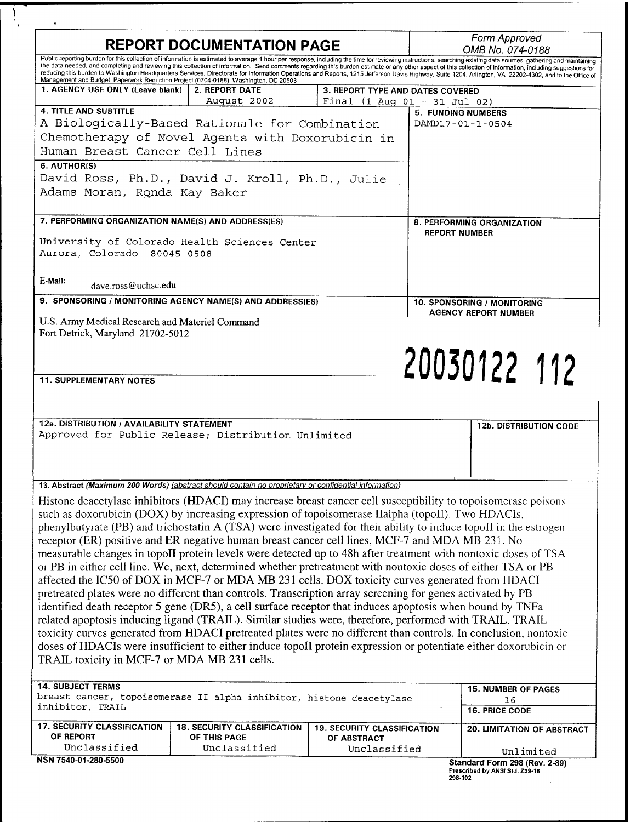|                                                                                                                          | <b>REPORT DOCUMENTATION PAGE</b>                                                                           |                                    | Form Approved                                                                                                                                                                                                                                                                                                                                                                                                         |
|--------------------------------------------------------------------------------------------------------------------------|------------------------------------------------------------------------------------------------------------|------------------------------------|-----------------------------------------------------------------------------------------------------------------------------------------------------------------------------------------------------------------------------------------------------------------------------------------------------------------------------------------------------------------------------------------------------------------------|
|                                                                                                                          |                                                                                                            |                                    | OMB No. 074-0188<br>Public reporting burden for this collection of information is estimated to average 1 hour per response, including the time for reviewing instructions, searching existing data sources, gathering and maintaining                                                                                                                                                                                 |
|                                                                                                                          |                                                                                                            |                                    | the data needed, and completing and reviewing this collection of information. Send comments regarding this burden estimate or any other aspect of this collection of information, including suggestions for<br>reducing this burden to Washington Headquarters Services, Directorate for Information Operations and Reports, 1215 Jefferson Davis Highway, Suite 1204, Arlington, VA 22202-4302, and to the Office of |
| Management and Budget, Paperwork Reduction Project (0704-0188), Washington, DC 20503<br>1. AGENCY USE ONLY (Leave blank) | <b>2. REPORT DATE</b>                                                                                      | 3. REPORT TYPE AND DATES COVERED   |                                                                                                                                                                                                                                                                                                                                                                                                                       |
|                                                                                                                          | August 2002                                                                                                |                                    | Final $(1 \text{ Aug } 01 - 31 \text{ Jul } 02)$                                                                                                                                                                                                                                                                                                                                                                      |
| <b>4. TITLE AND SUBTITLE</b>                                                                                             |                                                                                                            |                                    | <b>5. FUNDING NUMBERS</b>                                                                                                                                                                                                                                                                                                                                                                                             |
|                                                                                                                          | A Biologically-Based Rationale for Combination                                                             |                                    | DAMD17-01-1-0504                                                                                                                                                                                                                                                                                                                                                                                                      |
|                                                                                                                          | Chemotherapy of Novel Agents with Doxorubicin in                                                           |                                    |                                                                                                                                                                                                                                                                                                                                                                                                                       |
| Human Breast Cancer Cell Lines                                                                                           |                                                                                                            |                                    |                                                                                                                                                                                                                                                                                                                                                                                                                       |
| 6. AUTHOR(S)                                                                                                             | David Ross, Ph.D., David J. Kroll, Ph.D., Julie                                                            |                                    |                                                                                                                                                                                                                                                                                                                                                                                                                       |
| Adams Moran, Ronda Kay Baker                                                                                             |                                                                                                            |                                    |                                                                                                                                                                                                                                                                                                                                                                                                                       |
|                                                                                                                          |                                                                                                            |                                    |                                                                                                                                                                                                                                                                                                                                                                                                                       |
| 7. PERFORMING ORGANIZATION NAME(S) AND ADDRESS(ES)                                                                       |                                                                                                            |                                    | 8. PERFORMING ORGANIZATION                                                                                                                                                                                                                                                                                                                                                                                            |
|                                                                                                                          |                                                                                                            |                                    | <b>REPORT NUMBER</b>                                                                                                                                                                                                                                                                                                                                                                                                  |
|                                                                                                                          | University of Colorado Health Sciences Center                                                              |                                    |                                                                                                                                                                                                                                                                                                                                                                                                                       |
| Aurora, Colorado 80045-0508                                                                                              |                                                                                                            |                                    |                                                                                                                                                                                                                                                                                                                                                                                                                       |
|                                                                                                                          |                                                                                                            |                                    |                                                                                                                                                                                                                                                                                                                                                                                                                       |
| E-Mail:<br>dave.ross@uchsc.edu                                                                                           |                                                                                                            |                                    |                                                                                                                                                                                                                                                                                                                                                                                                                       |
|                                                                                                                          | 9. SPONSORING / MONITORING AGENCY NAME(S) AND ADDRESS(ES)                                                  |                                    | 10. SPONSORING / MONITORING                                                                                                                                                                                                                                                                                                                                                                                           |
| U.S. Army Medical Research and Materiel Command                                                                          |                                                                                                            |                                    | <b>AGENCY REPORT NUMBER</b>                                                                                                                                                                                                                                                                                                                                                                                           |
| Fort Detrick, Maryland 21702-5012                                                                                        |                                                                                                            |                                    |                                                                                                                                                                                                                                                                                                                                                                                                                       |
|                                                                                                                          |                                                                                                            |                                    |                                                                                                                                                                                                                                                                                                                                                                                                                       |
|                                                                                                                          |                                                                                                            |                                    |                                                                                                                                                                                                                                                                                                                                                                                                                       |
| <b>11. SUPPLEMENTARY NOTES</b>                                                                                           |                                                                                                            |                                    | 20030122 112                                                                                                                                                                                                                                                                                                                                                                                                          |
|                                                                                                                          |                                                                                                            |                                    |                                                                                                                                                                                                                                                                                                                                                                                                                       |
|                                                                                                                          |                                                                                                            |                                    |                                                                                                                                                                                                                                                                                                                                                                                                                       |
| 12a. DISTRIBUTION / AVAILABILITY STATEMENT                                                                               |                                                                                                            |                                    |                                                                                                                                                                                                                                                                                                                                                                                                                       |
|                                                                                                                          | Approved for Public Release; Distribution Unlimited                                                        |                                    | <b>12b. DISTRIBUTION CODE</b>                                                                                                                                                                                                                                                                                                                                                                                         |
|                                                                                                                          |                                                                                                            |                                    |                                                                                                                                                                                                                                                                                                                                                                                                                       |
|                                                                                                                          |                                                                                                            |                                    |                                                                                                                                                                                                                                                                                                                                                                                                                       |
|                                                                                                                          |                                                                                                            |                                    |                                                                                                                                                                                                                                                                                                                                                                                                                       |
|                                                                                                                          | 13. Abstract (Maximum 200 Words) (abstract should contain no proprietary or confidential information)      |                                    |                                                                                                                                                                                                                                                                                                                                                                                                                       |
|                                                                                                                          |                                                                                                            |                                    | Histone deacetylase inhibitors (HDACI) may increase breast cancer cell susceptibility to topoisomerase poisons                                                                                                                                                                                                                                                                                                        |
|                                                                                                                          | such as doxorubicin (DOX) by increasing expression of topoisomerase IIalpha (topoII). Two HDACIs,          |                                    |                                                                                                                                                                                                                                                                                                                                                                                                                       |
|                                                                                                                          |                                                                                                            |                                    | phenylbutyrate (PB) and trichostatin A (TSA) were investigated for their ability to induce topoII in the estrogen                                                                                                                                                                                                                                                                                                     |
|                                                                                                                          | receptor (ER) positive and ER negative human breast cancer cell lines, MCF-7 and MDA MB 231. No            |                                    |                                                                                                                                                                                                                                                                                                                                                                                                                       |
|                                                                                                                          |                                                                                                            |                                    | measurable changes in topoII protein levels were detected up to 48h after treatment with nontoxic doses of TSA                                                                                                                                                                                                                                                                                                        |
|                                                                                                                          |                                                                                                            |                                    | or PB in either cell line. We, next, determined whether pretreatment with nontoxic doses of either TSA or PB                                                                                                                                                                                                                                                                                                          |
|                                                                                                                          | pretreated plates were no different than controls. Transcription array screening for genes activated by PB |                                    | affected the IC50 of DOX in MCF-7 or MDA MB 231 cells. DOX toxicity curves generated from HDACI                                                                                                                                                                                                                                                                                                                       |
|                                                                                                                          |                                                                                                            |                                    | identified death receptor 5 gene (DR5), a cell surface receptor that induces apoptosis when bound by TNFa                                                                                                                                                                                                                                                                                                             |
|                                                                                                                          |                                                                                                            |                                    | related apoptosis inducing ligand (TRAIL). Similar studies were, therefore, performed with TRAIL. TRAIL                                                                                                                                                                                                                                                                                                               |
|                                                                                                                          |                                                                                                            |                                    | toxicity curves generated from HDACI pretreated plates were no different than controls. In conclusion, nontoxic                                                                                                                                                                                                                                                                                                       |
|                                                                                                                          |                                                                                                            |                                    | doses of HDACIs were insufficient to either induce topoII protein expression or potentiate either doxorubicin or                                                                                                                                                                                                                                                                                                      |
| TRAIL toxicity in MCF-7 or MDA MB 231 cells.                                                                             |                                                                                                            |                                    |                                                                                                                                                                                                                                                                                                                                                                                                                       |
|                                                                                                                          |                                                                                                            |                                    |                                                                                                                                                                                                                                                                                                                                                                                                                       |
| <b>14. SUBJECT TERMS</b>                                                                                                 |                                                                                                            |                                    | <b>15. NUMBER OF PAGES</b>                                                                                                                                                                                                                                                                                                                                                                                            |
|                                                                                                                          | breast cancer, topoisomerase II alpha inhibitor, histone deacetylase                                       |                                    | 16                                                                                                                                                                                                                                                                                                                                                                                                                    |
| inhibitor, TRAIL                                                                                                         |                                                                                                            |                                    | <b>16. PRICE CODE</b>                                                                                                                                                                                                                                                                                                                                                                                                 |
| <b>17. SECURITY CLASSIFICATION</b>                                                                                       | <b>18. SECURITY CLASSIFICATION</b>                                                                         | <b>19. SECURITY CLASSIFICATION</b> | <b>20. LIMITATION OF ABSTRACT</b>                                                                                                                                                                                                                                                                                                                                                                                     |
| OF REPORT                                                                                                                | OF THIS PAGE                                                                                               | OF ABSTRACT                        |                                                                                                                                                                                                                                                                                                                                                                                                                       |
| Unclassified                                                                                                             | Unclassified                                                                                               | Unclassified                       | Unlimited                                                                                                                                                                                                                                                                                                                                                                                                             |
| NSN 7540-01-280-5500                                                                                                     |                                                                                                            |                                    | Standard Form 298 (Rev. 2-89)<br>Prescribed by ANSI Std. Z39-18                                                                                                                                                                                                                                                                                                                                                       |
|                                                                                                                          |                                                                                                            |                                    | 298-102                                                                                                                                                                                                                                                                                                                                                                                                               |

 $\frac{1}{2}$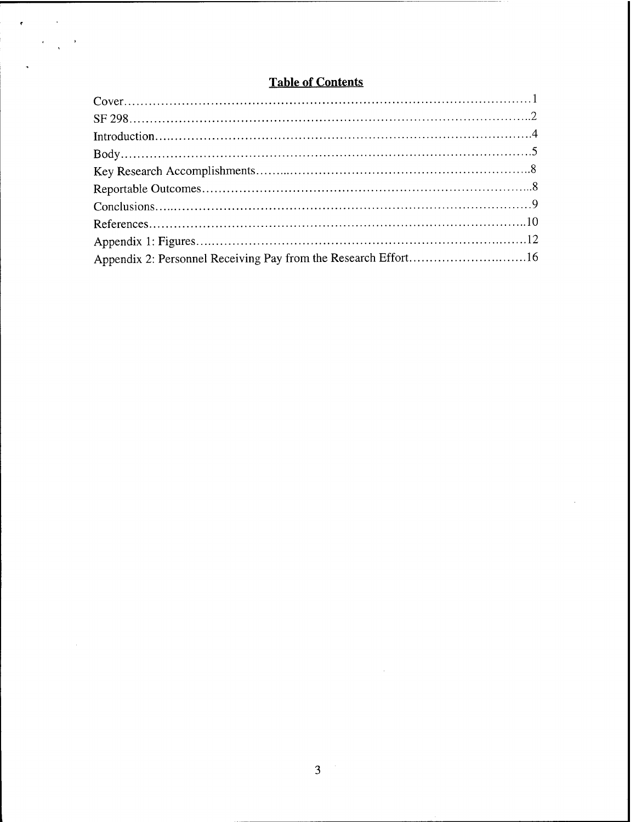# **Table of Contents**

 $\mathcal{L}=\mathcal{L}$ 

 $\bar{\beta}$ 

 $\bar{\phantom{a}}$ 

| Appendix 2: Personnel Receiving Pay from the Research Effort16 |  |
|----------------------------------------------------------------|--|

 $\sim$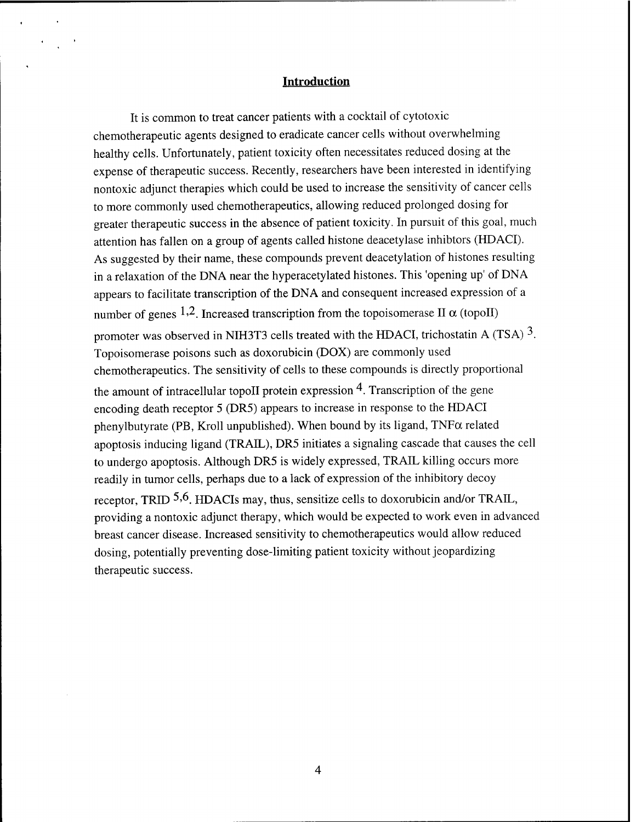#### **Introduction**

It is common to treat cancer patients with a cocktail of cytotoxic chemotherapeutic agents designed to eradicate cancer cells without overwhelming healthy cells. Unfortunately, patient toxicity often necessitates reduced dosing at the expense of therapeutic success. Recently, researchers have been interested in identifying nontoxic adjunct therapies which could be used to increase the sensitivity of cancer cells to more commonly used chemotherapeutics, allowing reduced prolonged dosing for greater therapeutic success in the absence of patient toxicity. In pursuit of this goal, much attention has fallen on a group of agents called histone deacetylase inhibtors (HDACI). As suggested by their name, these compounds prevent deacetylation of histones resulting in a relaxation of the DNA near the hyperacetylated histones. This 'opening up' of DNA appears to facilitate transcription of the DNA and consequent increased expression of a number of genes 1,2. Increased transcription from the topoisomerase II  $\alpha$  (topoII) promoter was observed in NIH3T3 cells treated with the HDACI, trichostatin A (TSA)  $3$ . Topoisomerase poisons such as doxorubicin (DOX) are commonly used chemotherapeutics. The sensitivity of cells to these compounds is directly proportional the amount of intracellular topoll protein expression  $4$ . Transcription of the gene encoding death receptor 5 (DR5) appears to increase in response to the HDACI phenylbutyrate (PB, Kroll unpublished). When bound by its ligand,  $TNF\alpha$  related apoptosis inducing ligand (TRAIL), DR5 initiates a signaling cascade that causes the cell to undergo apoptosis. Although DR5 is widely expressed, TRAIL killing occurs more readily in tumor cells, perhaps due to a lack of expression of the inhibitory decoy receptor, TRID  $5.6$ . HDACIs may, thus, sensitize cells to doxorubicin and/or TRAIL, providing a nontoxic adjunct therapy, which would be expected to work even in advanced breast cancer disease. Increased sensitivity to chemotherapeutics would allow reduced dosing, potentially preventing dose-limiting patient toxicity without jeopardizing therapeutic success.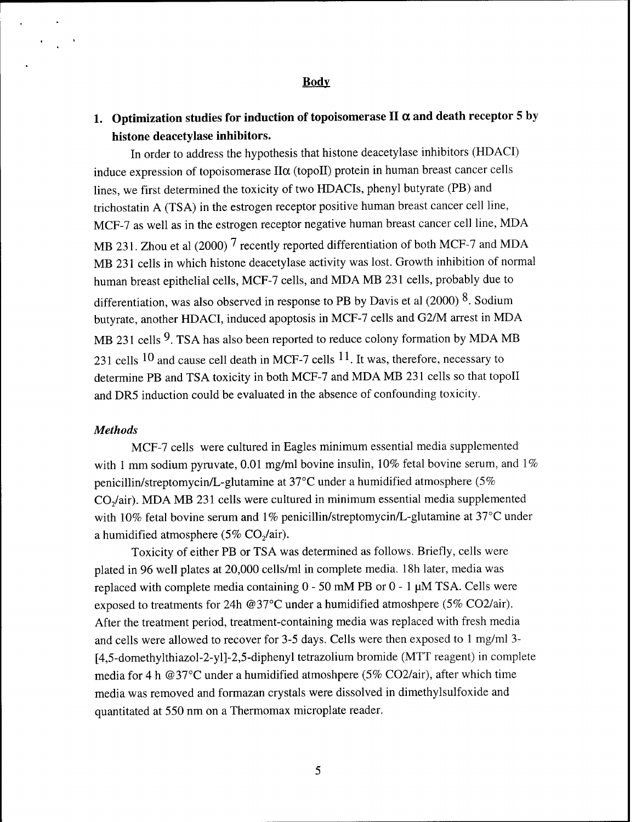#### **Body**

# **1. Optimization studies for induction of topoisomerase II a and death receptor 5 by histone deacetylase inhibitors.**

In order to address the hypothesis that histone deacetylase inhibitors (HDACI) induce expression of topoisomerase  $II\alpha$  (topoll) protein in human breast cancer cells lines, we first determined the toxicity of two HDACIs, phenyl butyrate (PB) and trichostatin A (TSA) in the estrogen receptor positive human breast cancer cell line, MCF-7 as well as in the estrogen receptor negative human breast cancer cell line, MDA MB 231. Zhou et al (2000)  $7$  recently reported differentiation of both MCF-7 and MDA MB 231 cells in which histone deacetylase activity was lost. Growth inhibition of normal human breast epithelial cells, MCF-7 cells, and MDA MB 231 cells, probably due to differentiation, was also observed in response to PB by Davis et al (2000)  $8$ . Sodium butyrate, another HDACI, induced apoptosis in MCF-7 cells and G2/M arrest in MDA MB 231 cells  $9$ . TSA has also been reported to reduce colony formation by MDA MB 231 cells  $10$  and cause cell death in MCF-7 cells  $11$ . It was, therefore, necessary to determine PB and TSA toxicity in both MCF-7 and MDA MB 231 cells so that topoll and DR5 induction could be evaluated in the absence of confounding toxicity.

## *Methods*

MCF-7 cells were cultured in Eagles minimum essential media supplemented with 1 mm sodium pyruvate, 0.01 mg/ml bovine insulin, 10% fetal bovine serum, and  $1\%$ penicillin/streptomycin/L-glutamine at 37°C under a humidified atmosphere (5% C02/air). MDA MB 231 cells were cultured in minimum essential media supplemented with 10% fetal bovine serum and 1% penicillin/streptomycin/L-glutamine at 37°C under a humidified atmosphere (5%  $CO<sub>2</sub>/air$ ).

Toxicity of either PB or TSA was determined as follows. Briefly, cells were plated in 96 well plates at 20,000 cells/ml in complete media. 18h later, media was replaced with complete media containing  $0 - 50$  mM PB or  $0 - 1$   $\mu$ M TSA. Cells were exposed to treatments for 24h @37°C under a humidified atmoshpere (5% C02/air). After the treatment period, treatment-containing media was replaced with fresh media and cells were allowed to recover for 3-5 days. Cells were then exposed to <sup>1</sup> mg/ml 3- [4,5-domethylthiazol-2-yl]-2,5-diphenyl tetrazolium bromide (MTT reagent) in complete media for 4 h @37°C under a humidified atmoshpere (5% C02/air), after which time media was removed and formazan crystals were dissolved in dimethylsulfoxide and quantitated at 550 nm on a Thermomax microplate reader.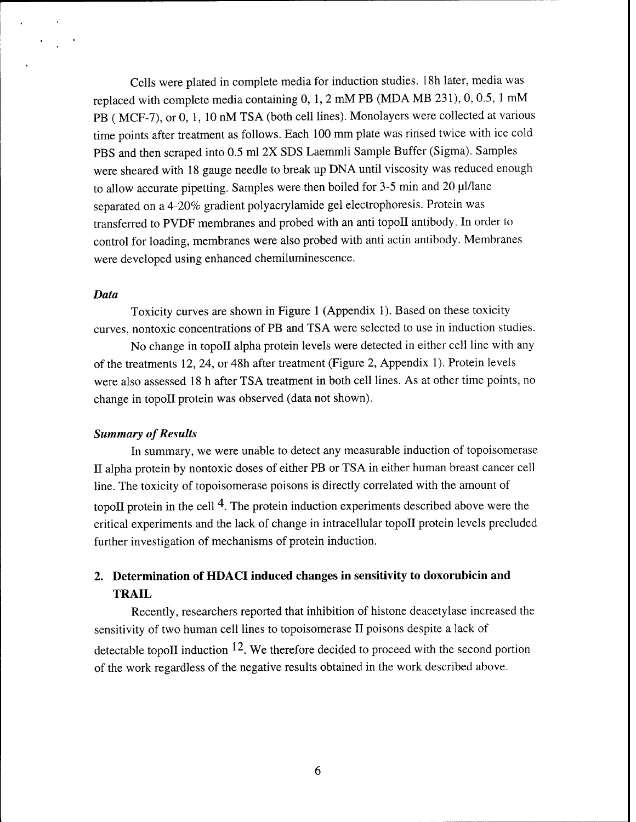Cells were plated in complete media for induction studies. 18h later, media was replaced with complete media containing 0, 1, 2 mM PB (MDA MB 231), 0, 0.5, <sup>1</sup> mM PB ( MCF-7), or 0, 1, 10 nM TSA (both cell lines). Monolayers were collected at various time points after treatment as follows. Each 100 mm plate was rinsed twice with ice cold PBS and then scraped into 0.5 ml 2X SDS Laemmli Sample Buffer (Sigma). Samples were sheared with 18 gauge needle to break up DNA until viscosity was reduced enough to allow accurate pipetting. Samples were then boiled for 3-5 min and 20 ul/lane separated on a 4-20% gradient polyacrylamide gel electrophoresis. Protein was transferred to PVDF membranes and probed with an anti topoll antibody. In order to control for loading, membranes were also probed with anti actin antibody. Membranes were developed using enhanced chemiluminescence.

### *Data*

Toxicity curves are shown in Figure <sup>1</sup> (Appendix 1). Based on these toxicity curves, nontoxic concentrations of PB and TSA were selected to use in induction studies.

No change in topoll alpha protein levels were detected in either cell line with any of the treatments 12, 24, or 48h after treatment (Figure 2, Appendix 1). Protein levels were also assessed 18 h after TSA treatment in both cell lines. As at other time points, no change in topoll protein was observed (data not shown).

#### **Summary** of Results

In summary, we were unable to detect any measurable induction of topoisomerase II alpha protein by nontoxic doses of either PB or TSA in either human breast cancer cell line. The toxicity of topoisomerase poisons is directly correlated with the amount of topoII protein in the cell  $4$ . The protein induction experiments described above were the critical experiments and the lack of change in intracellular topoll protein levels precluded further investigation of mechanisms of protein induction.

# **2. Determination of HDACI induced changes in sensitivity to doxorubicin and TRAIL**

Recently, researchers reported that inhibition of histone deacetylase increased the sensitivity of two human cell lines to topoisomerase II poisons despite a lack of detectable topoll induction  $12$ . We therefore decided to proceed with the second portion of the work regardless of the negative results obtained in the work described above.

6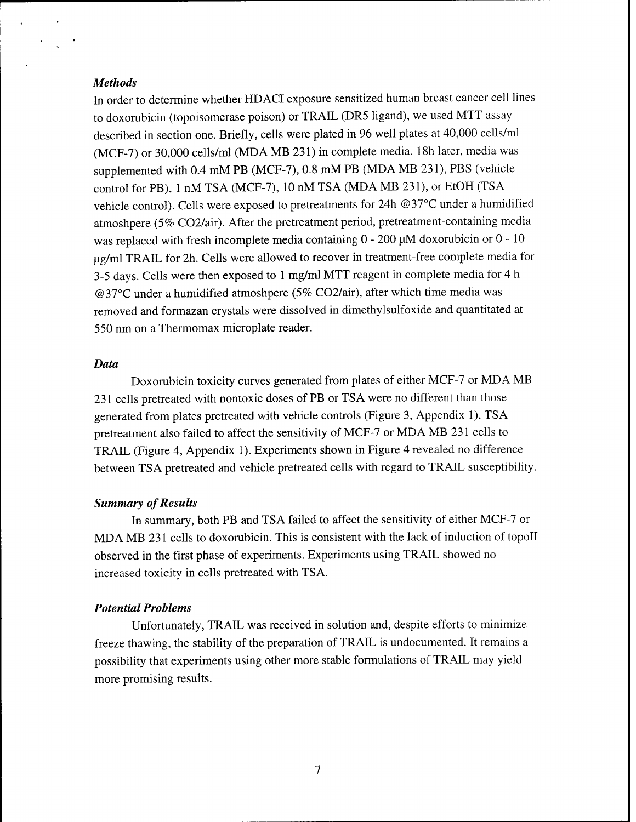#### *Methods*

In order to determine whether HDACI exposure sensitized human breast cancer cell lines to doxorubicin (topoisomerase poison) or TRAIL (DR5 ligand), we used MTT assay described in section one. Briefly, cells were plated in 96 well plates at 40,000 cells/ml (MCF-7) or 30,000 cells/ml (MDA MB 231) in complete media. 18h later, media was supplemented with 0.4 mM PB (MCF-7), 0.8 mM PB (MDA MB 231), PBS (vehicle control for PB), <sup>1</sup> nM TSA (MCF-7), 10 nM TSA (MDA MB 231), or EtOH (TSA vehicle control). Cells were exposed to pretreatments for 24h @37°C under a humidified atmoshpere (5% C02/air). After the pretreatment period, pretreatment-containing media was replaced with fresh incomplete media containing  $0 - 200 \mu M$  doxorubicin or  $0 - 10$ ug/ml TRAIL for 2h. Cells were allowed to recover in treatment-free complete media for 3-5 days. Cells were then exposed to <sup>1</sup> mg/ml MTT reagent in complete media for 4 h @37°C under a humidified atmoshpere (5% C02/air), after which time media was removed and formazan crystals were dissolved in dimethylsulfoxide and quantitated at 550 nm on a Thermomax microplate reader.

#### *Data*

Doxorubicin toxicity curves generated from plates of either MCF-7 or MDA MB 231 cells pretreated with nontoxic doses of PB or TSA were no different than those generated from plates pretreated with vehicle controls (Figure 3, Appendix 1). TSA pretreatment also failed to affect the sensitivity of MCF-7 or MDA MB 231 cells to TRAIL (Figure 4, Appendix 1). Experiments shown in Figure 4 revealed no difference between TSA pretreated and vehicle pretreated cells with regard to TRAIL susceptibility.

#### **Summary** of Results

In summary, both PB and TSA failed to affect the sensitivity of either MCF-7 or MDA MB 231 cells to doxorubicin. This is consistent with the lack of induction of topoll observed in the first phase of experiments. Experiments using TRAIL showed no increased toxicity in cells pretreated with TSA.

#### *Potential Problems*

Unfortunately, TRAIL was received in solution and, despite efforts to minimize freeze thawing, the stability of the preparation of TRAIL is undocumented. It remains a possibility that experiments using other more stable formulations of TRAIL may yield more promising results.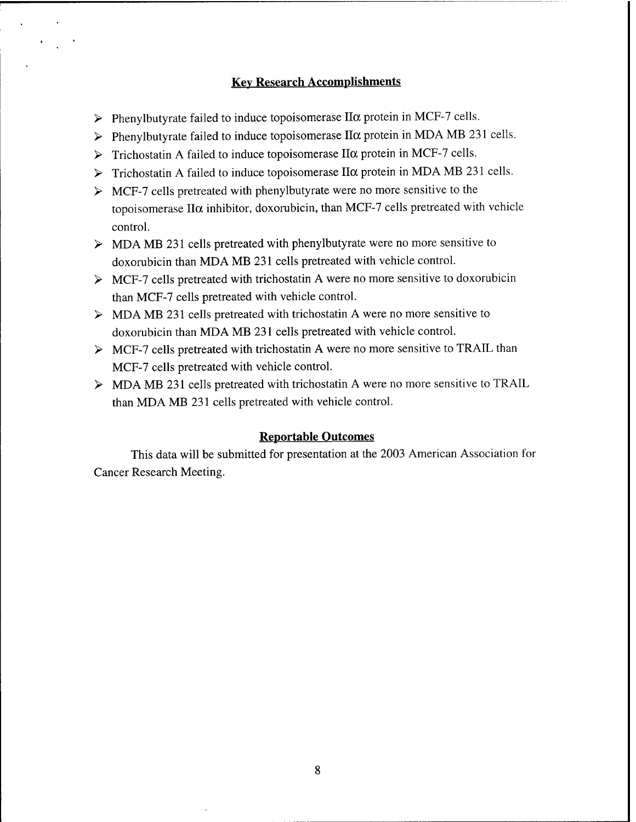# **Key Research Accomplishments**

- $\triangleright$  Phenylbutyrate failed to induce topoisomerase II $\alpha$  protein in MCF-7 cells.
- $\triangleright$  Phenylbutyrate failed to induce topoisomerase II $\alpha$  protein in MDA MB 231 cells.
- $\triangleright$  Trichostatin A failed to induce topoisomerase II $\alpha$  protein in MCF-7 cells.
- $\triangleright$  Trichostatin A failed to induce topoisomerase II $\alpha$  protein in MDA MB 231 cells.
- $\triangleright$  MCF-7 cells pretreated with phenylbutyrate were no more sensitive to the topoisomerase  $II\alpha$  inhibitor, doxorubicin, than MCF-7 cells pretreated with vehicle control.
- > MDA MB 231 cells pretreated with phenylbutyrate were no more sensitive to doxorubicin than MDA MB 231 cells pretreated with vehicle control.
- $\triangleright$  MCF-7 cells pretreated with trichostatin A were no more sensitive to doxorubicin than MCF-7 cells pretreated with vehicle control.
- > MDA MB 231 cells pretreated with trichostatin A were no more sensitive to doxorubicin than MDA MB 231 cells pretreated with vehicle control.
- > MCF-7 cells pretreated with trichostatin A were no more sensitive to TRAIL than MCF-7 cells pretreated with vehicle control.
- > MDA MB 231 cells pretreated with trichostatin A were no more sensitive to TRAIL than MDA MB 231 cells pretreated with vehicle control.

#### **Reportable Outcomes**

This data will be submitted for presentation at the 2003 American Association for Cancer Research Meeting.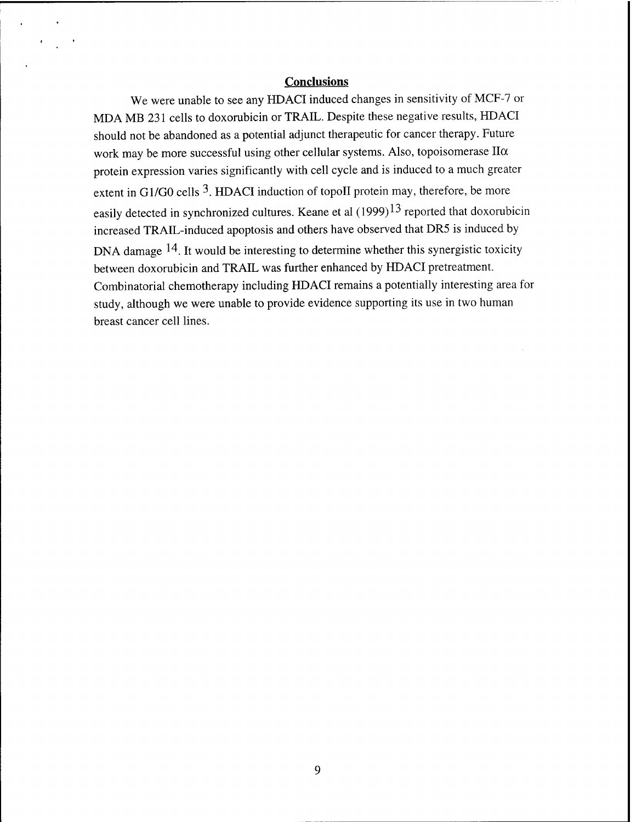# **Conclusions**

We were unable to see any HDACI induced changes in sensitivity of MCF-7 or MDA MB 231 cells to doxorubicin or TRAIL. Despite these negative results, HDACI should not be abandoned as a potential adjunct therapeutic for cancer therapy. Future work may be more successful using other cellular systems. Also, topoisomerase  $II\alpha$ protein expression varies significantly with cell cycle and is induced to a much greater extent in G1/G0 cells  $3$ . HDACI induction of topoII protein may, therefore, be more easily detected in synchronized cultures. Keane et al  $(1999)^{13}$  reported that doxorubicin increased TRAIL-induced apoptosis and others have observed that DR5 is induced by DNA damage  $14$ . It would be interesting to determine whether this synergistic toxicity between doxorubicin and TRAIL was further enhanced by HDACI pretreatment. Combinatorial chemotherapy including HDACI remains a potentially interesting area for study, although we were unable to provide evidence supporting its use in two human breast cancer cell lines.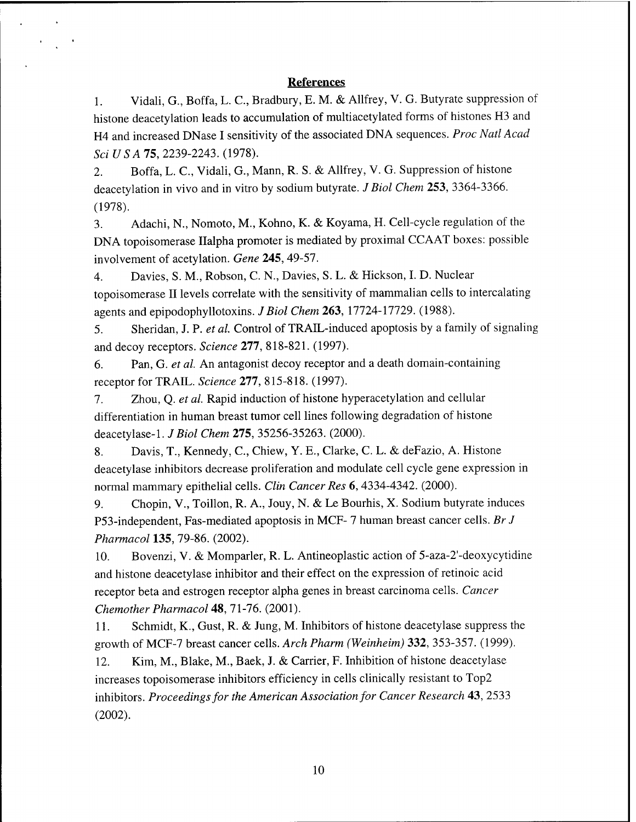## **References**

1. Vidali, G., Boffa, L. C, Bradbury, E. M. & Allfrey, V. G. Butyrate suppression of histone deacetylation leads to accumulation of multiacetylated forms of histones H3 and H4 and increased DNase I sensitivity of the associated DNA sequences. *Proc Natl Acad Sei US AIS,* 2239-2243. (1978).

2. Boffa, L. C., Vidali, G., Mann, R. S. & Allfrey, V. G. Suppression of histone deacetylation in vivo and in vitro by sodium butyrate. *J Biol Chem* **253,** 3364-3366. (1978).

3. Adachi, N., Nomoto, M., Kohno, K. & Koyama, H. Cell-cycle regulation of the DNA topoisomerase Ilalpha promoter is mediated by proximal CCAAT boxes: possible involvement of acetylation. *Gene* **245,** 49-57.

4. Davies, S. M., Robson, C. N., Davies, S. L. & Hickson, I. D. Nuclear topoisomerase II levels correlate with the sensitivity of mammalian cells to intercalating agents and epipodophyllotoxins. *J Biol Chem* **263,** 17724-17729. (1988).

5. Sheridan, J. P. *et al.* Control of TRAIL-induced apoptosis by a family of signaling and decoy receptors. *Science* **277,** 818-821. (1997).

6. Pan, G. *et al.* An antagonist decoy receptor and a death domain-containing receptor for TRAIL. *Science* **277,** 815-818. (1997).

7. Zhou, Q. *et al.* Rapid induction of histone hyperacetylation and cellular differentiation in human breast tumor cell lines following degradation of histone deacetylase-1. *J Biol Chem* **275,** 35256-35263. (2000).

8. Davis, T., Kennedy, C, Chiew, Y. E., Clarke, C. L. & deFazio, A. Histone deacetylase inhibitors decrease proliferation and modulate cell cycle gene expression in normal mammary epithelial cells. *Clin Cancer Res* 6, 4334-4342. (2000).

9. Chopin, V., Toillon, R. A., Jouy, N. & Le Bourhis, X. Sodium butyrate induces P53-independent, Fas-mediated apoptosis in MCF- 7 human breast cancer cells. *Br J Pharmacol* **135,** 79-86. (2002).

10. Bovenzi, V. & Momparler, R. L. Antineoplastic action of 5-aza-2'-deoxycytidine and histone deacetylase inhibitor and their effect on the expression of retinoic acid receptor beta and estrogen receptor alpha genes in breast carcinoma cells. *Cancer Chemother Pharmacol* 48, 71-76. (2001).

11. Schmidt, K., Gust, R. & Jung, M. Inhibitors of histone deacetylase suppress the growth of MCF-7 breast cancer cells. *Arch Pharm (Weinheim)* **332,** 353-357. (1999).

12. Kim, M., Blake, M., Baek, J. & Carrier, F. Inhibition of histone deacetylase increases topoisomerase inhibitors efficiency in cells clinically resistant to Top2 inhibitors. *Proceedingsfor the American Association for Cancer Research* **43,** 2533 (2002).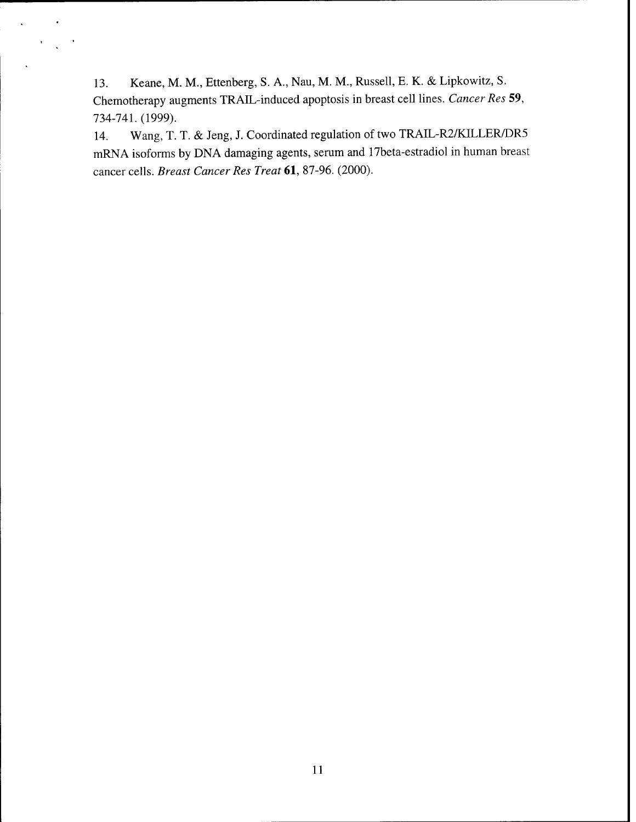13. Keane, M. M., Ettenberg, S. A., Nau, M. M., Russell, E. K. & Lipkowitz, S. Chemotherapy augments TRAIL-induced apoptosis in breast cell lines. *Cancer Res* 59, 734-741. (1999).

14. Wang, T. T. & Jeng, J. Coordinated regulation of two TRAIL-R2/KILLER/DR5 mRNA isoforms by DNA damaging agents, serum and 17beta-estradiol in human breast cancer cells. *Breast Cancer Res Treat* 61, 87-96. (2000).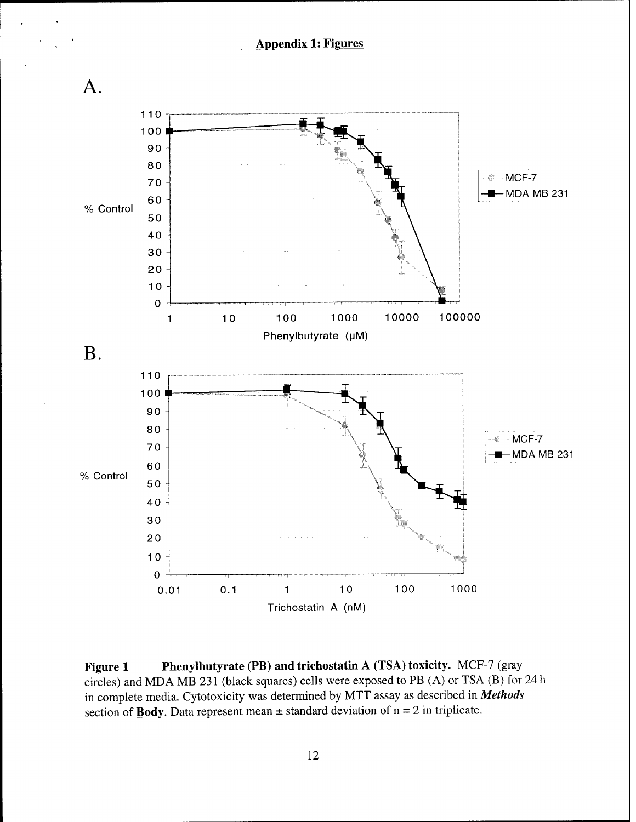

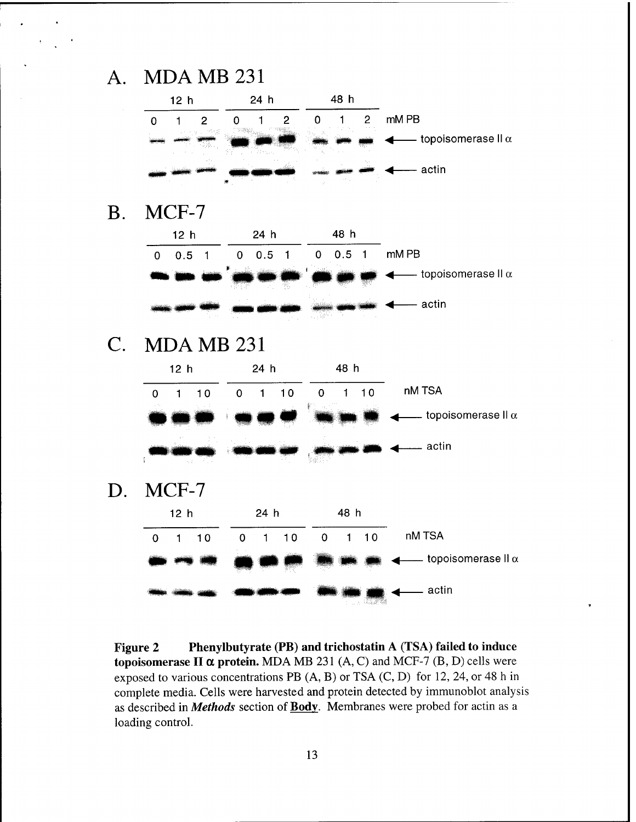# A. MDAMB231

| 12 <sub>h</sub> |        |       | 24 h |  |                                                                                                                     |                             |
|-----------------|--------|-------|------|--|---------------------------------------------------------------------------------------------------------------------|-----------------------------|
|                 |        |       |      |  | $\sim$ $\sim$                                                                                                       | mM PB                       |
|                 |        |       |      |  | <u> 1999 - 1999 - 1999 - 1999 - 1999 - 1999 - 1999 - 1999 - 1999 - 1999 - 1999 - 1999 - 1999 - 1999 - 1999 - 19</u> | – topoisomerase II $\alpha$ |
|                 | an Tin | <br>÷ |      |  | The Corp.                                                                                                           | actin                       |

B. MCF-7

| 12 h                      | 24 h        | 48 h     |                              |
|---------------------------|-------------|----------|------------------------------|
| 0.5                       | 0.5<br>0    | 0.5<br>0 | mM PB                        |
| maadaan<br>Baara in un vo | 49          |          | —— topoisomerase II $\alpha$ |
| . .                       | <b>ALC:</b> |          | actin                        |

C. MDAMB231





**Figure 2 Phenylbutyrate (PB) and trichostatin A (TSA) failed to induce topoisomerase II a protein.** MDA MB <sup>231</sup> (A, C) and MCF-7 (B, D) cells were exposed to various concentrations PB (A, B) or TSA (C, D) for 12, 24, or 48 h in complete media. Cells were harvested and protein detected by immunoblot analysis as described in *Methods* section of **Body.** Membranes were probed for actin as a loading control.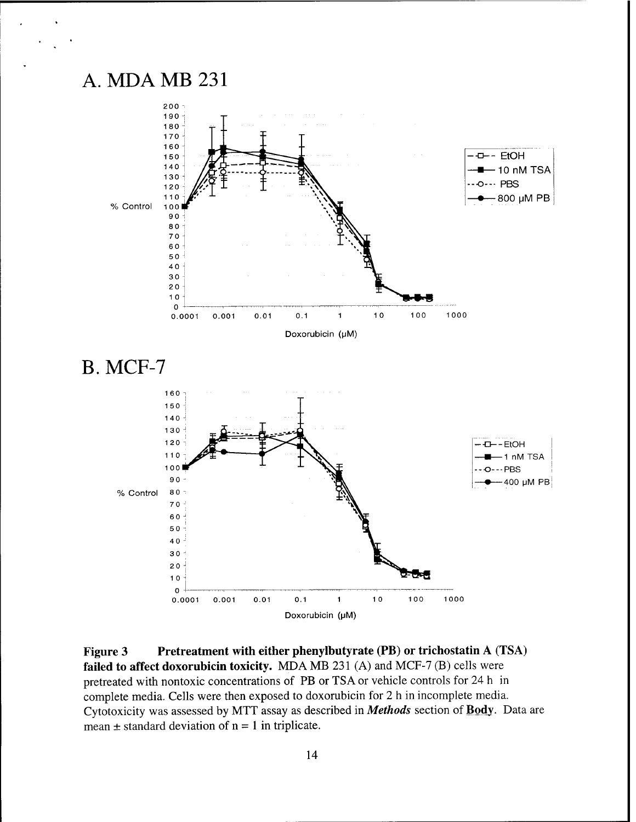



**Figure 3 Pretreatment with either phenylbutyrate (PB) or trichostatin A (TSA) failed to affect doxorubicin toxicity.** MDA MB 231 (A) and MCF-7 (B) cells were pretreated with nontoxic concentrations of PB or TSA or vehicle controls for 24 h in complete media. Cells were then exposed to doxorubicin for 2 h in incomplete media. Cytotoxicity was assessed by MTT assay as described in *Methods* section of Body. Data are mean  $\pm$  standard deviation of  $n = 1$  in triplicate.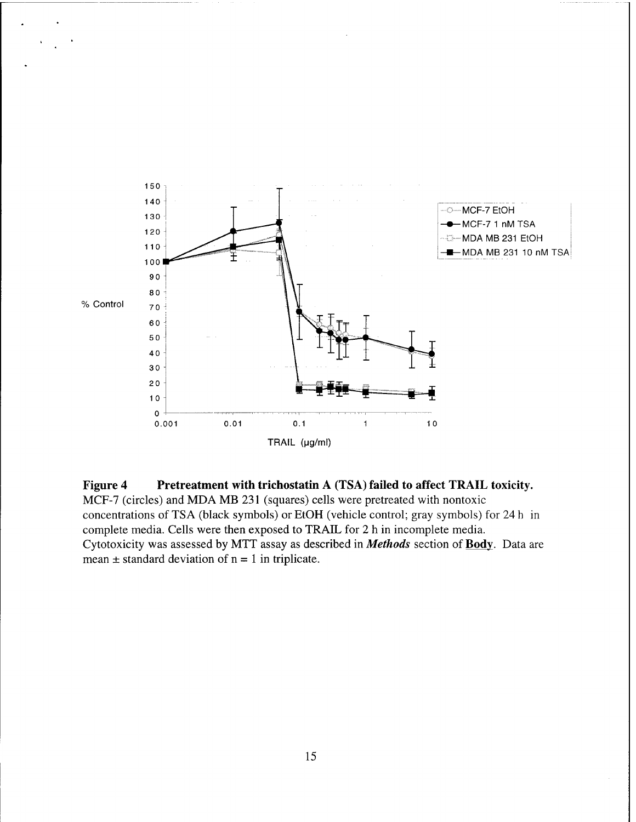

**Figure 4 Pretreatment with trichostatin A (TSA) failed to affect TRAIL toxicity.** MCF-7 (circles) and MDA MB 231 (squares) cells were pretreated with nontoxic concentrations of TSA (black symbols) or EtOH (vehicle control; gray symbols) for 24 h in complete media. Cells were then exposed to TRAIL for 2 h in incomplete media. Cytotoxicity was assessed by MTT assay as described in *Methods* section of **Body.** Data are mean  $\pm$  standard deviation of  $n = 1$  in triplicate.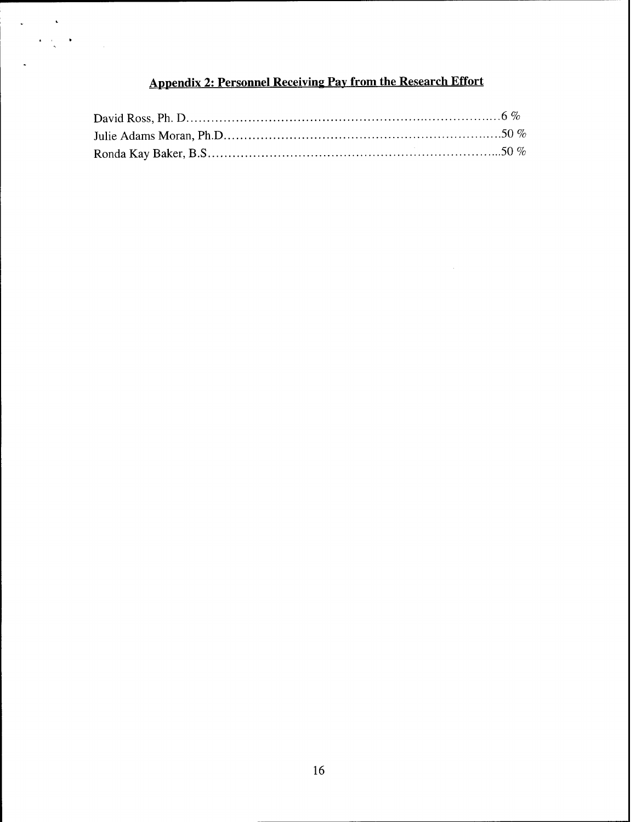# **Appendix 2: Personnel Receiving Pay from the Research Effort**

 $\ddot{\phantom{a}}$ 

 $\frac{1}{\sqrt{2}}$  $\ddot{\phantom{0}}$